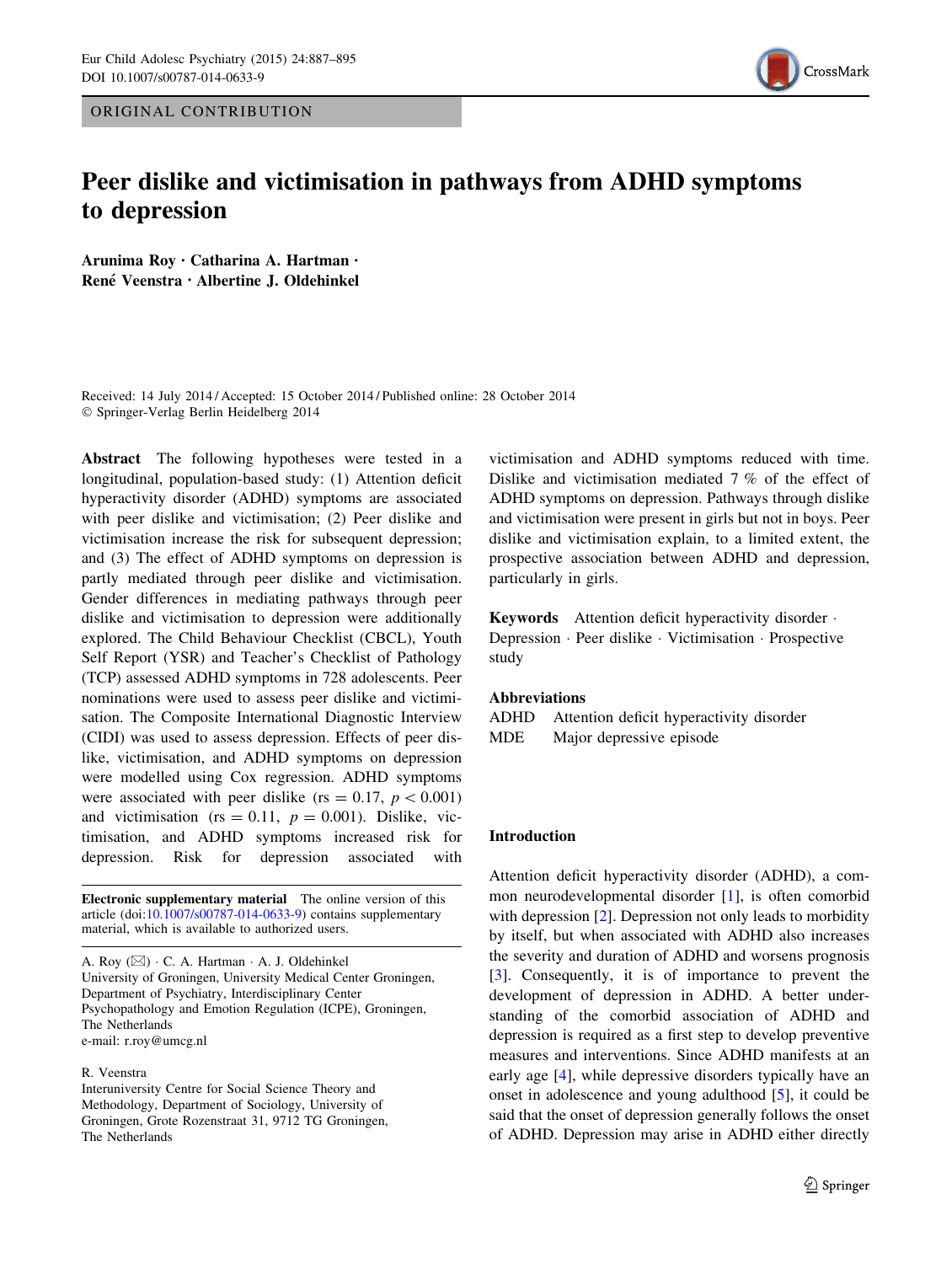ORIGINAL CONTRIBUTION



# Peer dislike and victimisation in pathways from ADHD symptoms to depression

Arunima Roy • Catharina A. Hartman • René Veenstra · Albertine J. Oldehinkel

Received: 14 July 2014 / Accepted: 15 October 2014 / Published online: 28 October 2014 - Springer-Verlag Berlin Heidelberg 2014

Abstract The following hypotheses were tested in a longitudinal, population-based study: (1) Attention deficit hyperactivity disorder (ADHD) symptoms are associated with peer dislike and victimisation; (2) Peer dislike and victimisation increase the risk for subsequent depression; and (3) The effect of ADHD symptoms on depression is partly mediated through peer dislike and victimisation. Gender differences in mediating pathways through peer dislike and victimisation to depression were additionally explored. The Child Behaviour Checklist (CBCL), Youth Self Report (YSR) and Teacher's Checklist of Pathology (TCP) assessed ADHD symptoms in 728 adolescents. Peer nominations were used to assess peer dislike and victimisation. The Composite International Diagnostic Interview (CIDI) was used to assess depression. Effects of peer dislike, victimisation, and ADHD symptoms on depression were modelled using Cox regression. ADHD symptoms were associated with peer dislike (rs = 0.17,  $p < 0.001$ ) and victimisation (rs = 0.11,  $p = 0.001$ ). Dislike, victimisation, and ADHD symptoms increased risk for depression. Risk for depression associated with

Electronic supplementary material The online version of this article (doi:[10.1007/s00787-014-0633-9\)](http://dx.doi.org/10.1007/s00787-014-0633-9) contains supplementary material, which is available to authorized users.

A. Roy ( $\boxtimes$ ) · C. A. Hartman · A. J. Oldehinkel University of Groningen, University Medical Center Groningen, Department of Psychiatry, Interdisciplinary Center Psychopathology and Emotion Regulation (ICPE), Groningen, The Netherlands e-mail: r.roy@umcg.nl

#### R. Veenstra

Interuniversity Centre for Social Science Theory and Methodology, Department of Sociology, University of Groningen, Grote Rozenstraat 31, 9712 TG Groningen, The Netherlands

victimisation and ADHD symptoms reduced with time. Dislike and victimisation mediated 7 % of the effect of ADHD symptoms on depression. Pathways through dislike and victimisation were present in girls but not in boys. Peer dislike and victimisation explain, to a limited extent, the prospective association between ADHD and depression, particularly in girls.

Keywords Attention deficit hyperactivity disorder -Depression - Peer dislike - Victimisation - Prospective study

#### Abbreviations

ADHD Attention deficit hyperactivity disorder MDE Major depressive episode

# Introduction

Attention deficit hyperactivity disorder (ADHD), a common neurodevelopmental disorder [[1\]](#page-7-0), is often comorbid with depression [[2](#page-7-0)]. Depression not only leads to morbidity by itself, but when associated with ADHD also increases the severity and duration of ADHD and worsens prognosis [\[3](#page-7-0)]. Consequently, it is of importance to prevent the development of depression in ADHD. A better understanding of the comorbid association of ADHD and depression is required as a first step to develop preventive measures and interventions. Since ADHD manifests at an early age [[4\]](#page-7-0), while depressive disorders typically have an onset in adolescence and young adulthood [\[5](#page-7-0)], it could be said that the onset of depression generally follows the onset of ADHD. Depression may arise in ADHD either directly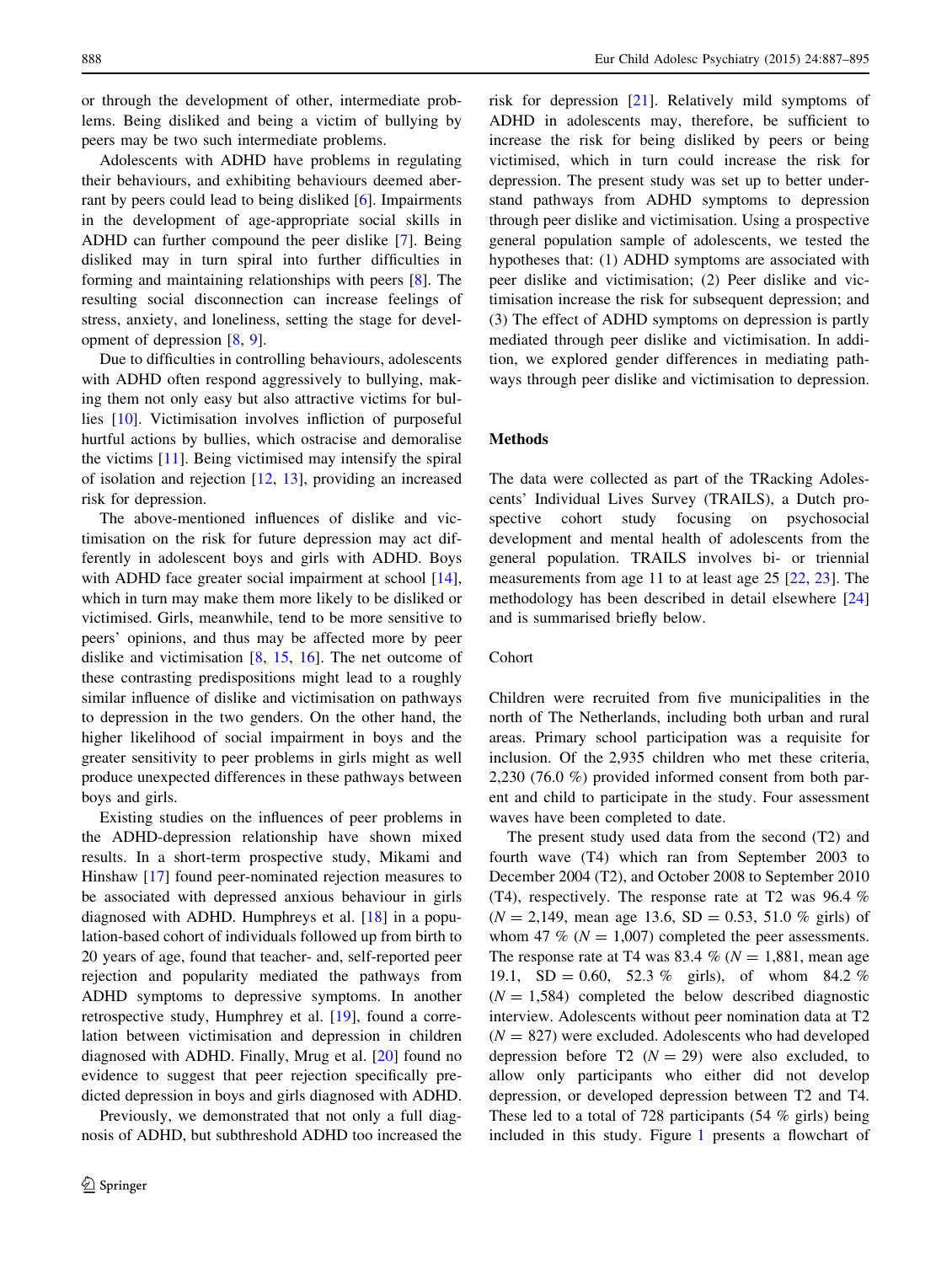or through the development of other, intermediate problems. Being disliked and being a victim of bullying by peers may be two such intermediate problems.

Adolescents with ADHD have problems in regulating their behaviours, and exhibiting behaviours deemed aberrant by peers could lead to being disliked [[6\]](#page-7-0). Impairments in the development of age-appropriate social skills in ADHD can further compound the peer dislike [\[7](#page-7-0)]. Being disliked may in turn spiral into further difficulties in forming and maintaining relationships with peers [\[8](#page-7-0)]. The resulting social disconnection can increase feelings of stress, anxiety, and loneliness, setting the stage for development of depression [\[8](#page-7-0), [9](#page-7-0)].

Due to difficulties in controlling behaviours, adolescents with ADHD often respond aggressively to bullying, making them not only easy but also attractive victims for bullies [\[10](#page-7-0)]. Victimisation involves infliction of purposeful hurtful actions by bullies, which ostracise and demoralise the victims [\[11](#page-7-0)]. Being victimised may intensify the spiral of isolation and rejection [[12,](#page-7-0) [13\]](#page-7-0), providing an increased risk for depression.

The above-mentioned influences of dislike and victimisation on the risk for future depression may act differently in adolescent boys and girls with ADHD. Boys with ADHD face greater social impairment at school [\[14](#page-7-0)], which in turn may make them more likely to be disliked or victimised. Girls, meanwhile, tend to be more sensitive to peers' opinions, and thus may be affected more by peer dislike and victimisation  $[8, 15, 16]$  $[8, 15, 16]$  $[8, 15, 16]$  $[8, 15, 16]$  $[8, 15, 16]$  $[8, 15, 16]$  $[8, 15, 16]$ . The net outcome of these contrasting predispositions might lead to a roughly similar influence of dislike and victimisation on pathways to depression in the two genders. On the other hand, the higher likelihood of social impairment in boys and the greater sensitivity to peer problems in girls might as well produce unexpected differences in these pathways between boys and girls.

Existing studies on the influences of peer problems in the ADHD-depression relationship have shown mixed results. In a short-term prospective study, Mikami and Hinshaw [\[17](#page-7-0)] found peer-nominated rejection measures to be associated with depressed anxious behaviour in girls diagnosed with ADHD. Humphreys et al. [\[18](#page-7-0)] in a population-based cohort of individuals followed up from birth to 20 years of age, found that teacher- and, self-reported peer rejection and popularity mediated the pathways from ADHD symptoms to depressive symptoms. In another retrospective study, Humphrey et al. [[19\]](#page-7-0), found a correlation between victimisation and depression in children diagnosed with ADHD. Finally, Mrug et al. [\[20](#page-7-0)] found no evidence to suggest that peer rejection specifically predicted depression in boys and girls diagnosed with ADHD.

Previously, we demonstrated that not only a full diagnosis of ADHD, but subthreshold ADHD too increased the risk for depression [\[21](#page-7-0)]. Relatively mild symptoms of ADHD in adolescents may, therefore, be sufficient to increase the risk for being disliked by peers or being victimised, which in turn could increase the risk for depression. The present study was set up to better understand pathways from ADHD symptoms to depression through peer dislike and victimisation. Using a prospective general population sample of adolescents, we tested the hypotheses that: (1) ADHD symptoms are associated with peer dislike and victimisation; (2) Peer dislike and victimisation increase the risk for subsequent depression; and (3) The effect of ADHD symptoms on depression is partly mediated through peer dislike and victimisation. In addition, we explored gender differences in mediating pathways through peer dislike and victimisation to depression.

# Methods

The data were collected as part of the TRacking Adolescents' Individual Lives Survey (TRAILS), a Dutch prospective cohort study focusing on psychosocial development and mental health of adolescents from the general population. TRAILS involves bi- or triennial measurements from age 11 to at least age 25 [\[22](#page-7-0), [23\]](#page-7-0). The methodology has been described in detail elsewhere [[24\]](#page-7-0) and is summarised briefly below.

### Cohort

Children were recruited from five municipalities in the north of The Netherlands, including both urban and rural areas. Primary school participation was a requisite for inclusion. Of the 2,935 children who met these criteria, 2,230 (76.0 %) provided informed consent from both parent and child to participate in the study. Four assessment waves have been completed to date.

The present study used data from the second (T2) and fourth wave (T4) which ran from September 2003 to December 2004 (T2), and October 2008 to September 2010 (T4), respectively. The response rate at T2 was 96.4 %  $(N = 2,149, \text{ mean age } 13.6, SD = 0.53, 51.0 \% \text{ girls})$  of whom 47 % ( $N = 1,007$ ) completed the peer assessments. The response rate at T4 was 83.4 % ( $N = 1,881$ , mean age 19.1,  $SD = 0.60$ , 52.3 % girls), of whom 84.2 %  $(N = 1,584)$  completed the below described diagnostic interview. Adolescents without peer nomination data at T2  $(N = 827)$  were excluded. Adolescents who had developed depression before T2  $(N = 29)$  were also excluded, to allow only participants who either did not develop depression, or developed depression between T2 and T4. These led to a total of 728 participants (54 % girls) being included in this study. Figure [1](#page-2-0) presents a flowchart of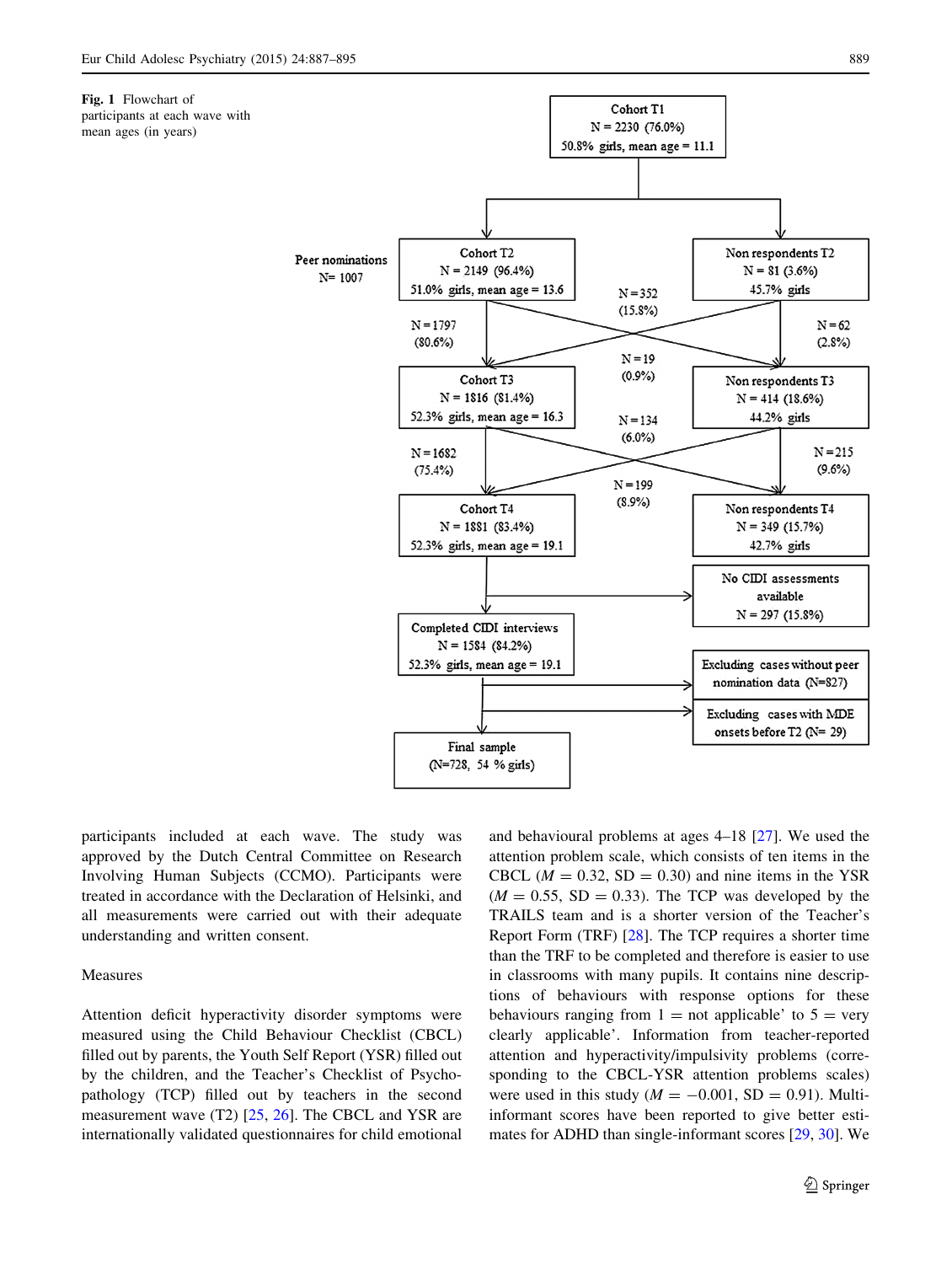<span id="page-2-0"></span>Fig. 1 Flowchart of

participants at each wave with mean ages (in years)



participants included at each wave. The study was approved by the Dutch Central Committee on Research Involving Human Subjects (CCMO). Participants were treated in accordance with the Declaration of Helsinki, and all measurements were carried out with their adequate understanding and written consent.

## Measures

Attention deficit hyperactivity disorder symptoms were measured using the Child Behaviour Checklist (CBCL) filled out by parents, the Youth Self Report (YSR) filled out by the children, and the Teacher's Checklist of Psychopathology (TCP) filled out by teachers in the second measurement wave (T2) [[25](#page-7-0), [26\]](#page-7-0). The CBCL and YSR are internationally validated questionnaires for child emotional and behavioural problems at ages 4–18 [[27\]](#page-7-0). We used the attention problem scale, which consists of ten items in the CBCL ( $M = 0.32$ , SD = 0.30) and nine items in the YSR  $(M = 0.55, SD = 0.33)$ . The TCP was developed by the TRAILS team and is a shorter version of the Teacher's Report Form (TRF) [[28\]](#page-7-0). The TCP requires a shorter time than the TRF to be completed and therefore is easier to use in classrooms with many pupils. It contains nine descriptions of behaviours with response options for these behaviours ranging from  $1 =$  not applicable' to  $5 =$  very clearly applicable'. Information from teacher-reported attention and hyperactivity/impulsivity problems (corresponding to the CBCL-YSR attention problems scales) were used in this study ( $M = -0.001$ , SD = 0.91). Multiinformant scores have been reported to give better estimates for ADHD than single-informant scores [\[29](#page-7-0), [30](#page-7-0)]. We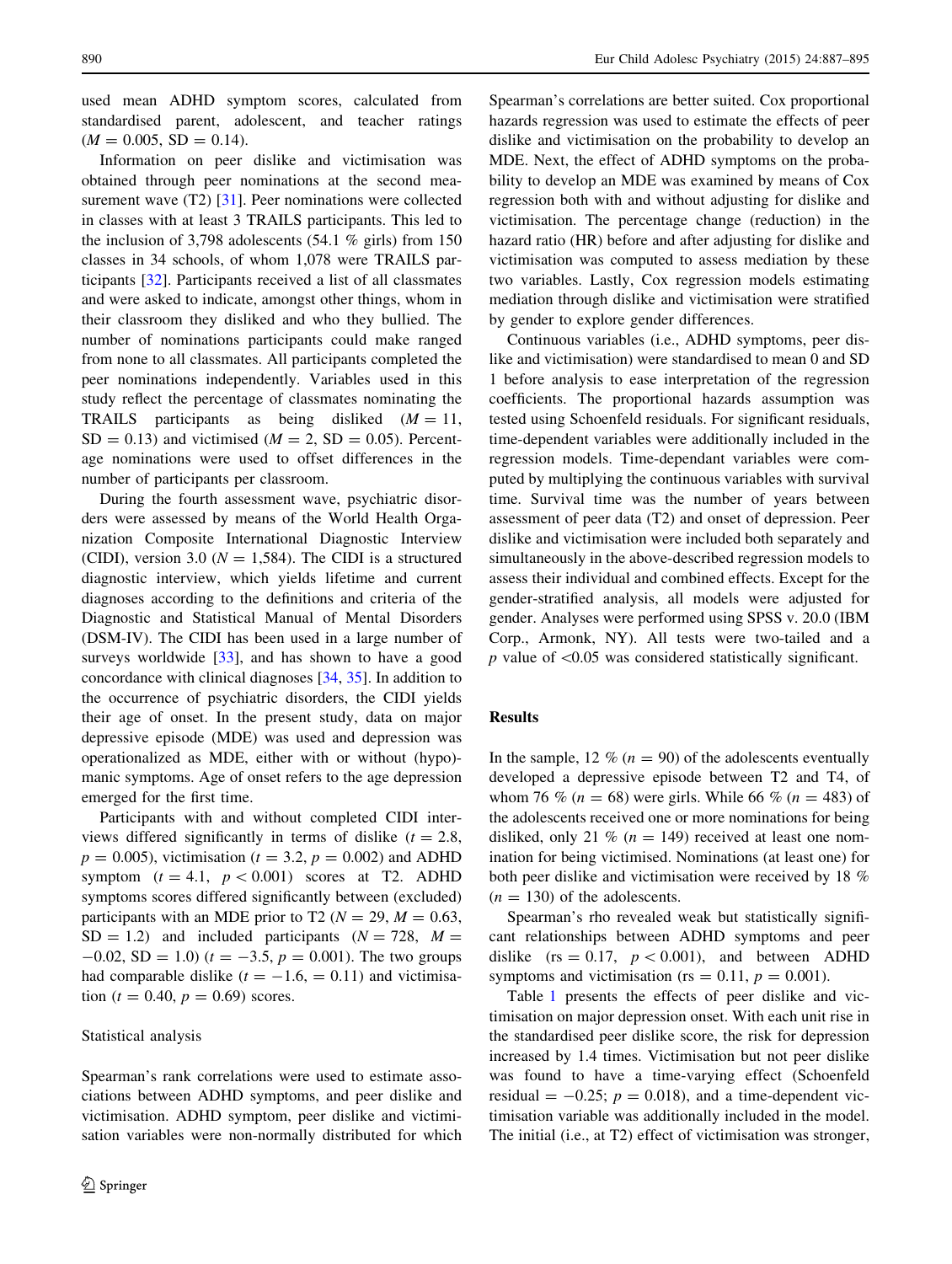used mean ADHD symptom scores, calculated from standardised parent, adolescent, and teacher ratings  $(M = 0.005, SD = 0.14).$ 

Information on peer dislike and victimisation was obtained through peer nominations at the second mea-surement wave (T2) [[31\]](#page-8-0). Peer nominations were collected in classes with at least 3 TRAILS participants. This led to the inclusion of 3,798 adolescents (54.1 % girls) from 150 classes in 34 schools, of whom 1,078 were TRAILS participants [[32\]](#page-8-0). Participants received a list of all classmates and were asked to indicate, amongst other things, whom in their classroom they disliked and who they bullied. The number of nominations participants could make ranged from none to all classmates. All participants completed the peer nominations independently. Variables used in this study reflect the percentage of classmates nominating the TRAILS participants as being disliked  $(M = 11)$ ,  $SD = 0.13$ ) and victimised ( $M = 2$ ,  $SD = 0.05$ ). Percentage nominations were used to offset differences in the number of participants per classroom.

During the fourth assessment wave, psychiatric disorders were assessed by means of the World Health Organization Composite International Diagnostic Interview (CIDI), version 3.0 ( $N = 1,584$ ). The CIDI is a structured diagnostic interview, which yields lifetime and current diagnoses according to the definitions and criteria of the Diagnostic and Statistical Manual of Mental Disorders (DSM-IV). The CIDI has been used in a large number of surveys worldwide  $[33]$  $[33]$ , and has shown to have a good concordance with clinical diagnoses [[34,](#page-8-0) [35\]](#page-8-0). In addition to the occurrence of psychiatric disorders, the CIDI yields their age of onset. In the present study, data on major depressive episode (MDE) was used and depression was operationalized as MDE, either with or without (hypo) manic symptoms. Age of onset refers to the age depression emerged for the first time.

Participants with and without completed CIDI interviews differed significantly in terms of dislike  $(t = 2.8$ ,  $p = 0.005$ , victimisation ( $t = 3.2$ ,  $p = 0.002$ ) and ADHD symptom  $(t = 4.1, p < 0.001)$  scores at T2. ADHD symptoms scores differed significantly between (excluded) participants with an MDE prior to T2 ( $N = 29$ ,  $M = 0.63$ ,  $SD = 1.2$ ) and included participants ( $N = 728$ ,  $M =$  $-0.02$ , SD = 1.0) ( $t = -3.5$ ,  $p = 0.001$ ). The two groups had comparable dislike  $(t = -1.6, = 0.11)$  and victimisation ( $t = 0.40$ ,  $p = 0.69$ ) scores.

# Statistical analysis

Spearman's rank correlations were used to estimate associations between ADHD symptoms, and peer dislike and victimisation. ADHD symptom, peer dislike and victimisation variables were non-normally distributed for which Spearman's correlations are better suited. Cox proportional hazards regression was used to estimate the effects of peer dislike and victimisation on the probability to develop an MDE. Next, the effect of ADHD symptoms on the probability to develop an MDE was examined by means of Cox regression both with and without adjusting for dislike and victimisation. The percentage change (reduction) in the hazard ratio (HR) before and after adjusting for dislike and victimisation was computed to assess mediation by these two variables. Lastly, Cox regression models estimating mediation through dislike and victimisation were stratified by gender to explore gender differences.

Continuous variables (i.e., ADHD symptoms, peer dislike and victimisation) were standardised to mean 0 and SD 1 before analysis to ease interpretation of the regression coefficients. The proportional hazards assumption was tested using Schoenfeld residuals. For significant residuals, time-dependent variables were additionally included in the regression models. Time-dependant variables were computed by multiplying the continuous variables with survival time. Survival time was the number of years between assessment of peer data (T2) and onset of depression. Peer dislike and victimisation were included both separately and simultaneously in the above-described regression models to assess their individual and combined effects. Except for the gender-stratified analysis, all models were adjusted for gender. Analyses were performed using SPSS v. 20.0 (IBM Corp., Armonk, NY). All tests were two-tailed and a  $p$  value of  $\leq 0.05$  was considered statistically significant.

# Results

In the sample, 12 % ( $n = 90$ ) of the adolescents eventually developed a depressive episode between T2 and T4, of whom 76 % ( $n = 68$ ) were girls. While 66 % ( $n = 483$ ) of the adolescents received one or more nominations for being disliked, only 21 % ( $n = 149$ ) received at least one nomination for being victimised. Nominations (at least one) for both peer dislike and victimisation were received by 18 %  $(n = 130)$  of the adolescents.

Spearman's rho revealed weak but statistically significant relationships between ADHD symptoms and peer dislike (rs = 0.17,  $p < 0.001$ ), and between ADHD symptoms and victimisation (rs = 0.11,  $p = 0.001$ ).

Table [1](#page-4-0) presents the effects of peer dislike and victimisation on major depression onset. With each unit rise in the standardised peer dislike score, the risk for depression increased by 1.4 times. Victimisation but not peer dislike was found to have a time-varying effect (Schoenfeld residual  $= -0.25$ ;  $p = 0.018$ ), and a time-dependent victimisation variable was additionally included in the model. The initial (i.e., at T2) effect of victimisation was stronger,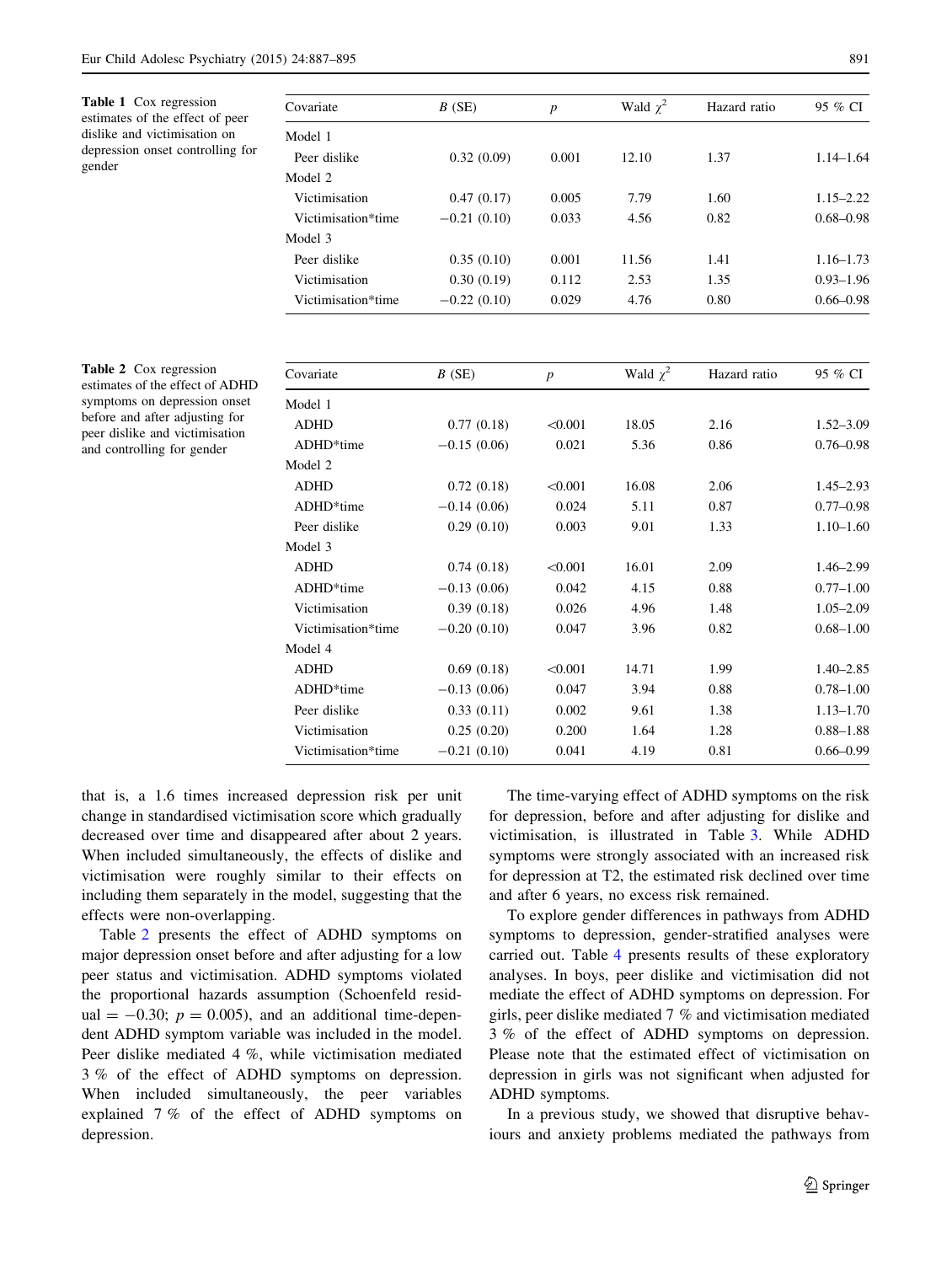<span id="page-4-0"></span>Table 1 Cox regression estimates of the effect of peer dislike and victimisation on depression onset controlling for gender

| Covariate          | B(SE)         | $\boldsymbol{p}$ | Wald $\chi^2$ | Hazard ratio | 95 % CI       |
|--------------------|---------------|------------------|---------------|--------------|---------------|
| Model 1            |               |                  |               |              |               |
| Peer dislike       | 0.32(0.09)    | 0.001            | 12.10         | 1.37         | $1.14 - 1.64$ |
| Model 2            |               |                  |               |              |               |
| Victimisation      | 0.47(0.17)    | 0.005            | 7.79          | 1.60         | $1.15 - 2.22$ |
| Victimisation*time | $-0.21(0.10)$ | 0.033            | 4.56          | 0.82         | $0.68 - 0.98$ |
| Model 3            |               |                  |               |              |               |
| Peer dislike       | 0.35(0.10)    | 0.001            | 11.56         | 1.41         | $1.16 - 1.73$ |
| Victimisation      | 0.30(0.19)    | 0.112            | 2.53          | 1.35         | $0.93 - 1.96$ |
| Victimisation*time | $-0.22(0.10)$ | 0.029            | 4.76          | 0.80         | $0.66 - 0.98$ |

Table 2 Cox regression estimates of the effect of ADHD symptoms on depression onset before and after adjusting for peer dislike and victimisation and controlling for gender

| Covariate          | $B$ (SE)      | $\boldsymbol{p}$ | Wald $\chi^2$ | Hazard ratio | 95 % CI       |  |
|--------------------|---------------|------------------|---------------|--------------|---------------|--|
| Model 1            |               |                  |               |              |               |  |
| <b>ADHD</b>        | 0.77(0.18)    | < 0.001          | 18.05         | 2.16         | $1.52 - 3.09$ |  |
| ADHD*time          | $-0.15(0.06)$ | 0.021            | 5.36          | 0.86         | $0.76 - 0.98$ |  |
| Model 2            |               |                  |               |              |               |  |
| <b>ADHD</b>        | 0.72(0.18)    | < 0.001          | 16.08         | 2.06         | $1.45 - 2.93$ |  |
| ADHD*time          | $-0.14(0.06)$ | 0.024            | 5.11          | 0.87         | $0.77 - 0.98$ |  |
| Peer dislike       | 0.29(0.10)    | 0.003            | 9.01          | 1.33         | $1.10 - 1.60$ |  |
| Model 3            |               |                  |               |              |               |  |
| <b>ADHD</b>        | 0.74(0.18)    | < 0.001          | 16.01         | 2.09         | $1.46 - 2.99$ |  |
| ADHD*time          | $-0.13(0.06)$ | 0.042            | 4.15          | 0.88         | $0.77 - 1.00$ |  |
| Victimisation      | 0.39(0.18)    | 0.026            | 4.96          | 1.48         | $1.05 - 2.09$ |  |
| Victimisation*time | $-0.20(0.10)$ | 0.047            | 3.96          | 0.82         | $0.68 - 1.00$ |  |
| Model 4            |               |                  |               |              |               |  |
| <b>ADHD</b>        | 0.69(0.18)    | < 0.001          | 14.71         | 1.99         | $1.40 - 2.85$ |  |
| ADHD*time          | $-0.13(0.06)$ | 0.047            | 3.94          | 0.88         | $0.78 - 1.00$ |  |
| Peer dislike       | 0.33(0.11)    | 0.002            | 9.61          | 1.38         | $1.13 - 1.70$ |  |
| Victimisation      | 0.25(0.20)    | 0.200            | 1.64          | 1.28         | $0.88 - 1.88$ |  |
| Victimisation*time | $-0.21(0.10)$ | 0.041            | 4.19          | 0.81         | $0.66 - 0.99$ |  |
|                    |               |                  |               |              |               |  |

that is, a 1.6 times increased depression risk per unit change in standardised victimisation score which gradually decreased over time and disappeared after about 2 years. When included simultaneously, the effects of dislike and victimisation were roughly similar to their effects on including them separately in the model, suggesting that the effects were non-overlapping.

Table 2 presents the effect of ADHD symptoms on major depression onset before and after adjusting for a low peer status and victimisation. ADHD symptoms violated the proportional hazards assumption (Schoenfeld residual  $= -0.30$ ;  $p = 0.005$ ), and an additional time-dependent ADHD symptom variable was included in the model. Peer dislike mediated 4 %, while victimisation mediated 3 % of the effect of ADHD symptoms on depression. When included simultaneously, the peer variables explained 7 % of the effect of ADHD symptoms on depression.

The time-varying effect of ADHD symptoms on the risk for depression, before and after adjusting for dislike and victimisation, is illustrated in Table [3.](#page-5-0) While ADHD symptoms were strongly associated with an increased risk for depression at T2, the estimated risk declined over time and after 6 years, no excess risk remained.

To explore gender differences in pathways from ADHD symptoms to depression, gender-stratified analyses were carried out. Table [4](#page-5-0) presents results of these exploratory analyses. In boys, peer dislike and victimisation did not mediate the effect of ADHD symptoms on depression. For girls, peer dislike mediated 7 % and victimisation mediated 3 % of the effect of ADHD symptoms on depression. Please note that the estimated effect of victimisation on depression in girls was not significant when adjusted for ADHD symptoms.

In a previous study, we showed that disruptive behaviours and anxiety problems mediated the pathways from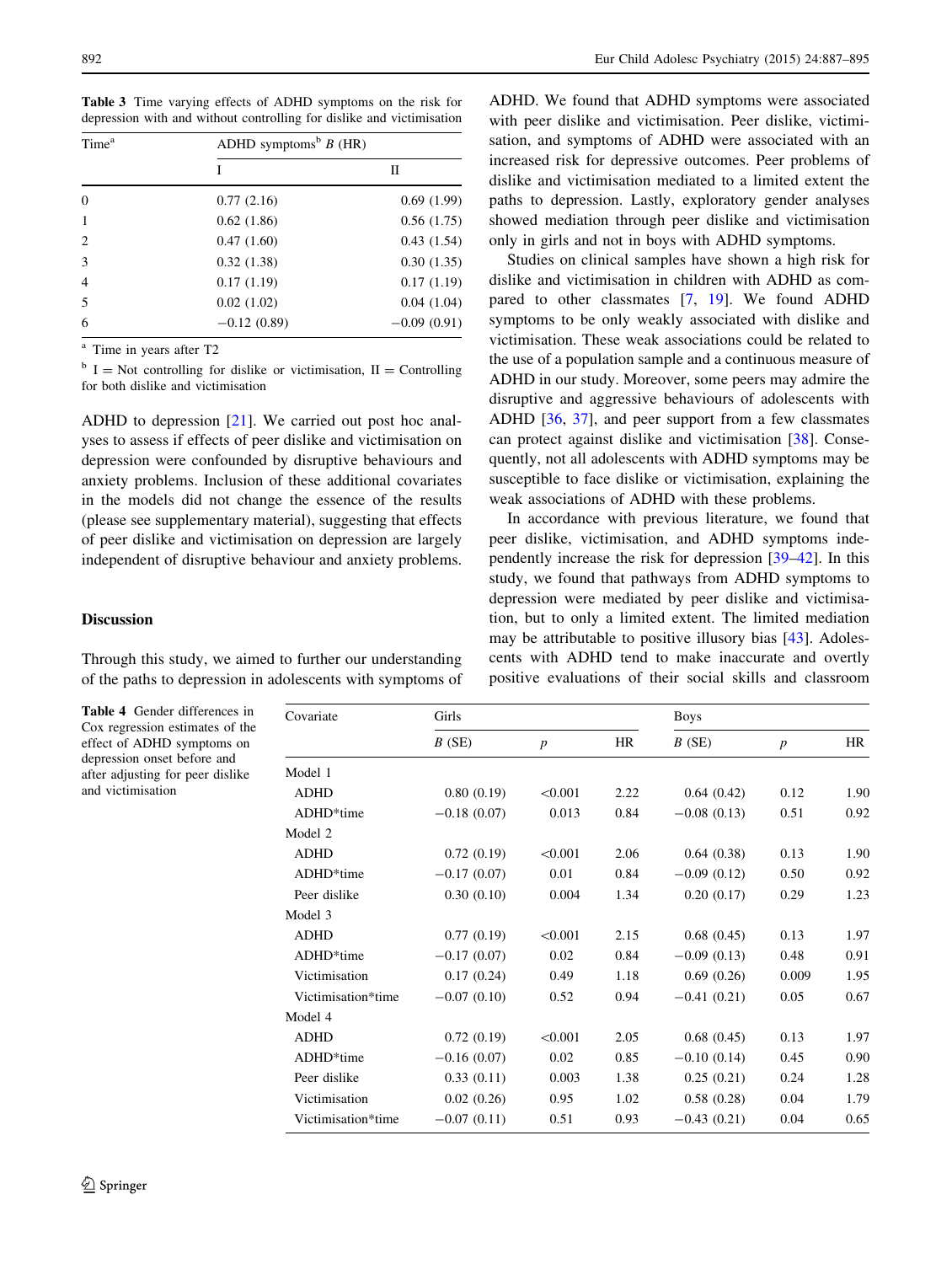<span id="page-5-0"></span>Table 3 Time varying effects of ADHD symptoms on the risk for depression with and without controlling for dislike and victimisation

| Time <sup>a</sup> | ADHD symptoms <sup>b</sup> $B$ (HR) |               |  |  |
|-------------------|-------------------------------------|---------------|--|--|
|                   | T                                   | П             |  |  |
| $\theta$          | 0.77(2.16)                          | 0.69(1.99)    |  |  |
| $\mathbf{1}$      | 0.62(1.86)                          | 0.56(1.75)    |  |  |
| 2                 | 0.47(1.60)                          | 0.43(1.54)    |  |  |
| 3                 | 0.32(1.38)                          | 0.30(1.35)    |  |  |
| $\overline{4}$    | 0.17(1.19)                          | 0.17(1.19)    |  |  |
| 5                 | 0.02(1.02)                          | 0.04(1.04)    |  |  |
| 6                 | $-0.12(0.89)$                       | $-0.09(0.91)$ |  |  |

<sup>a</sup> Time in years after T2

 $b I = Not controlling for dislike or victimisation, II = Controlling$ for both dislike and victimisation

ADHD to depression [[21\]](#page-7-0). We carried out post hoc analyses to assess if effects of peer dislike and victimisation on depression were confounded by disruptive behaviours and anxiety problems. Inclusion of these additional covariates in the models did not change the essence of the results (please see supplementary material), suggesting that effects of peer dislike and victimisation on depression are largely independent of disruptive behaviour and anxiety problems.

## Discussion

Through this study, we aimed to further our understanding of the paths to depression in adolescents with symptoms of

Table 4 Gender differences in Cox regression estimates of the effect of ADHD symptoms on depression onset before and after adjusting for peer dislike and victimisation

ADHD. We found that ADHD symptoms were associated with peer dislike and victimisation. Peer dislike, victimisation, and symptoms of ADHD were associated with an increased risk for depressive outcomes. Peer problems of dislike and victimisation mediated to a limited extent the paths to depression. Lastly, exploratory gender analyses showed mediation through peer dislike and victimisation only in girls and not in boys with ADHD symptoms.

Studies on clinical samples have shown a high risk for dislike and victimisation in children with ADHD as compared to other classmates [[7,](#page-7-0) [19\]](#page-7-0). We found ADHD symptoms to be only weakly associated with dislike and victimisation. These weak associations could be related to the use of a population sample and a continuous measure of ADHD in our study. Moreover, some peers may admire the disruptive and aggressive behaviours of adolescents with ADHD [[36,](#page-8-0) [37](#page-8-0)], and peer support from a few classmates can protect against dislike and victimisation [\[38](#page-8-0)]. Consequently, not all adolescents with ADHD symptoms may be susceptible to face dislike or victimisation, explaining the weak associations of ADHD with these problems.

In accordance with previous literature, we found that peer dislike, victimisation, and ADHD symptoms independently increase the risk for depression [[39–42\]](#page-8-0). In this study, we found that pathways from ADHD symptoms to depression were mediated by peer dislike and victimisation, but to only a limited extent. The limited mediation may be attributable to positive illusory bias [\[43](#page-8-0)]. Adolescents with ADHD tend to make inaccurate and overtly positive evaluations of their social skills and classroom

| Covariate          | Girls         |                  |      | <b>Boys</b>   |                  |      |
|--------------------|---------------|------------------|------|---------------|------------------|------|
|                    | B(SE)         | $\boldsymbol{p}$ | HR   | B(SE)         | $\boldsymbol{p}$ | HR.  |
| Model 1            |               |                  |      |               |                  |      |
| <b>ADHD</b>        | 0.80(0.19)    | < 0.001          | 2.22 | 0.64(0.42)    | 0.12             | 1.90 |
| ADHD*time          | $-0.18(0.07)$ | 0.013            | 0.84 | $-0.08(0.13)$ | 0.51             | 0.92 |
| Model 2            |               |                  |      |               |                  |      |
| <b>ADHD</b>        | 0.72(0.19)    | < 0.001          | 2.06 | 0.64(0.38)    | 0.13             | 1.90 |
| ADHD*time          | $-0.17(0.07)$ | 0.01             | 0.84 | $-0.09(0.12)$ | 0.50             | 0.92 |
| Peer dislike       | 0.30(0.10)    | 0.004            | 1.34 | 0.20(0.17)    | 0.29             | 1.23 |
| Model 3            |               |                  |      |               |                  |      |
| <b>ADHD</b>        | 0.77(0.19)    | < 0.001          | 2.15 | 0.68(0.45)    | 0.13             | 1.97 |
| ADHD*time          | $-0.17(0.07)$ | 0.02             | 0.84 | $-0.09(0.13)$ | 0.48             | 0.91 |
| Victimisation      | 0.17(0.24)    | 0.49             | 1.18 | 0.69(0.26)    | 0.009            | 1.95 |
| Victimisation*time | $-0.07(0.10)$ | 0.52             | 0.94 | $-0.41(0.21)$ | 0.05             | 0.67 |
| Model 4            |               |                  |      |               |                  |      |
| <b>ADHD</b>        | 0.72(0.19)    | < 0.001          | 2.05 | 0.68(0.45)    | 0.13             | 1.97 |
| ADHD*time          | $-0.16(0.07)$ | 0.02             | 0.85 | $-0.10(0.14)$ | 0.45             | 0.90 |
| Peer dislike       | 0.33(0.11)    | 0.003            | 1.38 | 0.25(0.21)    | 0.24             | 1.28 |
| Victimisation      | 0.02(0.26)    | 0.95             | 1.02 | 0.58(0.28)    | 0.04             | 1.79 |
| Victimisation*time | $-0.07(0.11)$ | 0.51             | 0.93 | $-0.43(0.21)$ | 0.04             | 0.65 |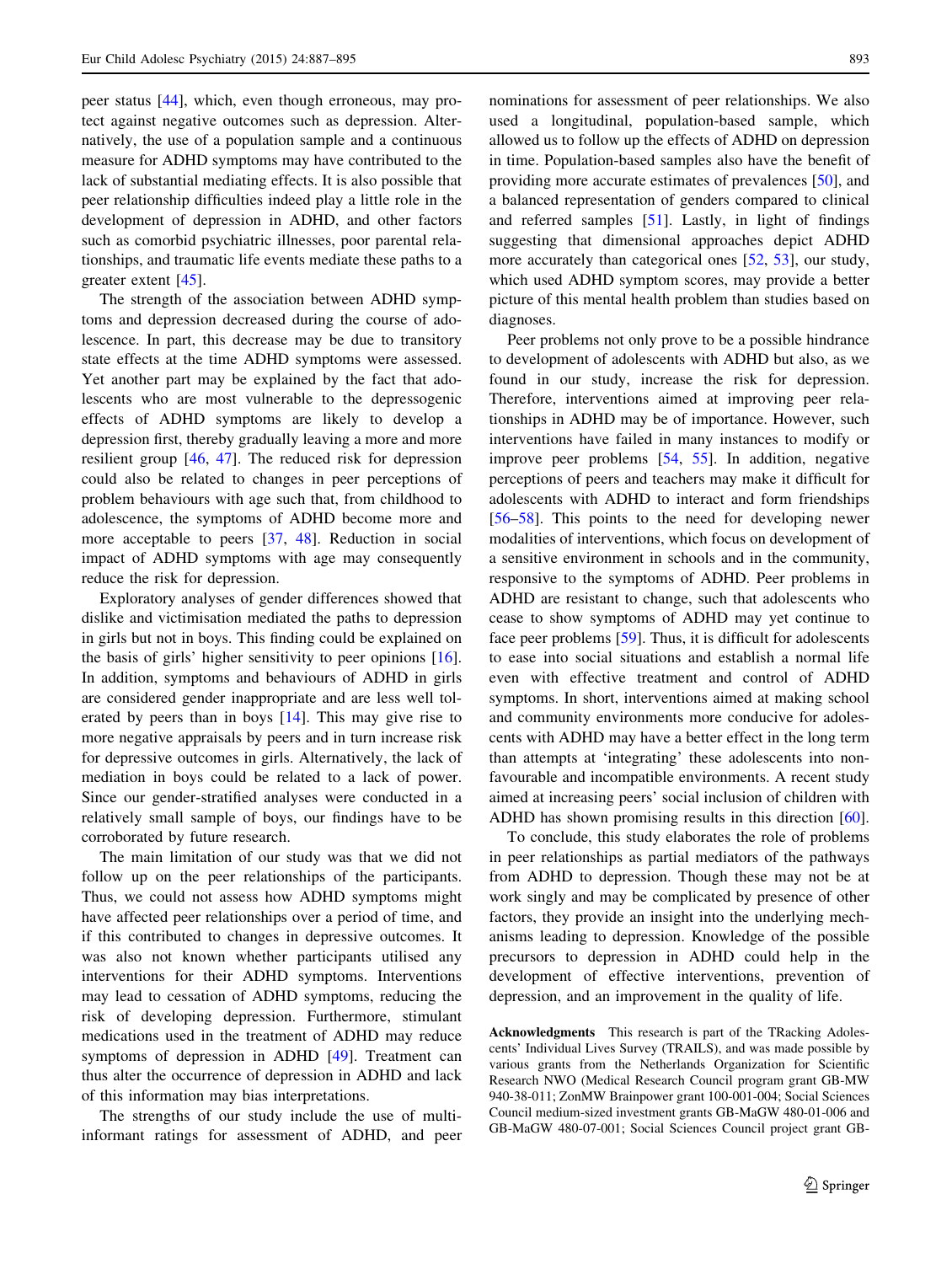peer status [[44\]](#page-8-0), which, even though erroneous, may protect against negative outcomes such as depression. Alternatively, the use of a population sample and a continuous measure for ADHD symptoms may have contributed to the lack of substantial mediating effects. It is also possible that peer relationship difficulties indeed play a little role in the development of depression in ADHD, and other factors such as comorbid psychiatric illnesses, poor parental relationships, and traumatic life events mediate these paths to a greater extent [\[45](#page-8-0)].

The strength of the association between ADHD symptoms and depression decreased during the course of adolescence. In part, this decrease may be due to transitory state effects at the time ADHD symptoms were assessed. Yet another part may be explained by the fact that adolescents who are most vulnerable to the depressogenic effects of ADHD symptoms are likely to develop a depression first, thereby gradually leaving a more and more resilient group [[46,](#page-8-0) [47](#page-8-0)]. The reduced risk for depression could also be related to changes in peer perceptions of problem behaviours with age such that, from childhood to adolescence, the symptoms of ADHD become more and more acceptable to peers [\[37](#page-8-0), [48](#page-8-0)]. Reduction in social impact of ADHD symptoms with age may consequently reduce the risk for depression.

Exploratory analyses of gender differences showed that dislike and victimisation mediated the paths to depression in girls but not in boys. This finding could be explained on the basis of girls' higher sensitivity to peer opinions [\[16](#page-7-0)]. In addition, symptoms and behaviours of ADHD in girls are considered gender inappropriate and are less well tolerated by peers than in boys [\[14](#page-7-0)]. This may give rise to more negative appraisals by peers and in turn increase risk for depressive outcomes in girls. Alternatively, the lack of mediation in boys could be related to a lack of power. Since our gender-stratified analyses were conducted in a relatively small sample of boys, our findings have to be corroborated by future research.

The main limitation of our study was that we did not follow up on the peer relationships of the participants. Thus, we could not assess how ADHD symptoms might have affected peer relationships over a period of time, and if this contributed to changes in depressive outcomes. It was also not known whether participants utilised any interventions for their ADHD symptoms. Interventions may lead to cessation of ADHD symptoms, reducing the risk of developing depression. Furthermore, stimulant medications used in the treatment of ADHD may reduce symptoms of depression in ADHD [\[49](#page-8-0)]. Treatment can thus alter the occurrence of depression in ADHD and lack of this information may bias interpretations.

The strengths of our study include the use of multiinformant ratings for assessment of ADHD, and peer nominations for assessment of peer relationships. We also used a longitudinal, population-based sample, which allowed us to follow up the effects of ADHD on depression in time. Population-based samples also have the benefit of providing more accurate estimates of prevalences [\[50](#page-8-0)], and a balanced representation of genders compared to clinical and referred samples [\[51](#page-8-0)]. Lastly, in light of findings suggesting that dimensional approaches depict ADHD more accurately than categorical ones [\[52](#page-8-0), [53](#page-8-0)], our study, which used ADHD symptom scores, may provide a better picture of this mental health problem than studies based on diagnoses.

Peer problems not only prove to be a possible hindrance to development of adolescents with ADHD but also, as we found in our study, increase the risk for depression. Therefore, interventions aimed at improving peer relationships in ADHD may be of importance. However, such interventions have failed in many instances to modify or improve peer problems [[54,](#page-8-0) [55](#page-8-0)]. In addition, negative perceptions of peers and teachers may make it difficult for adolescents with ADHD to interact and form friendships [\[56–58](#page-8-0)]. This points to the need for developing newer modalities of interventions, which focus on development of a sensitive environment in schools and in the community, responsive to the symptoms of ADHD. Peer problems in ADHD are resistant to change, such that adolescents who cease to show symptoms of ADHD may yet continue to face peer problems [[59](#page-8-0)]. Thus, it is difficult for adolescents to ease into social situations and establish a normal life even with effective treatment and control of ADHD symptoms. In short, interventions aimed at making school and community environments more conducive for adolescents with ADHD may have a better effect in the long term than attempts at 'integrating' these adolescents into nonfavourable and incompatible environments. A recent study aimed at increasing peers' social inclusion of children with ADHD has shown promising results in this direction [\[60](#page-8-0)].

To conclude, this study elaborates the role of problems in peer relationships as partial mediators of the pathways from ADHD to depression. Though these may not be at work singly and may be complicated by presence of other factors, they provide an insight into the underlying mechanisms leading to depression. Knowledge of the possible precursors to depression in ADHD could help in the development of effective interventions, prevention of depression, and an improvement in the quality of life.

Acknowledgments This research is part of the TRacking Adolescents' Individual Lives Survey (TRAILS), and was made possible by various grants from the Netherlands Organization for Scientific Research NWO (Medical Research Council program grant GB-MW 940-38-011; ZonMW Brainpower grant 100-001-004; Social Sciences Council medium-sized investment grants GB-MaGW 480-01-006 and GB-MaGW 480-07-001; Social Sciences Council project grant GB-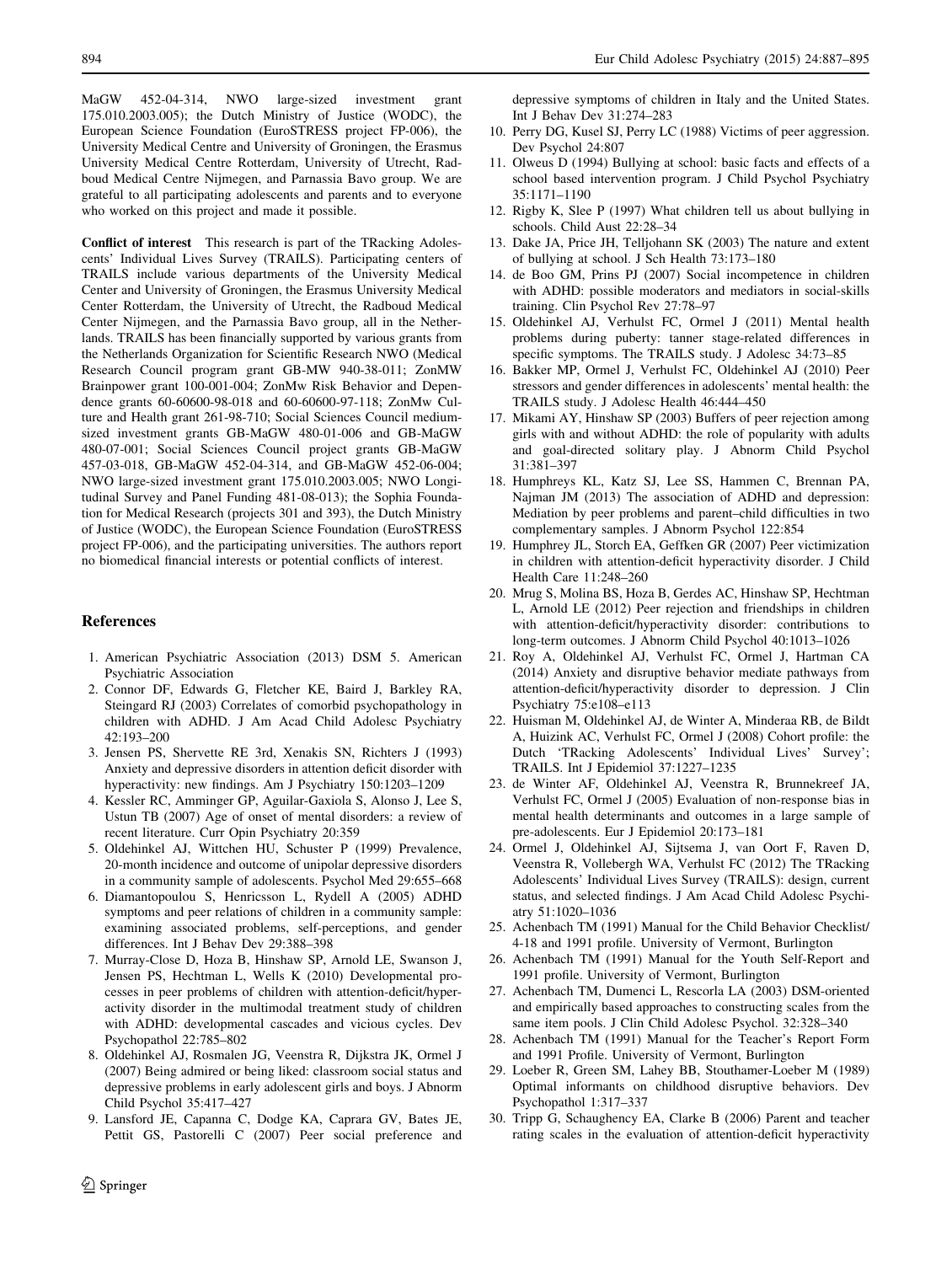<span id="page-7-0"></span>MaGW 452-04-314, NWO large-sized investment grant 175.010.2003.005); the Dutch Ministry of Justice (WODC), the European Science Foundation (EuroSTRESS project FP-006), the University Medical Centre and University of Groningen, the Erasmus University Medical Centre Rotterdam, University of Utrecht, Radboud Medical Centre Nijmegen, and Parnassia Bavo group. We are grateful to all participating adolescents and parents and to everyone who worked on this project and made it possible.

Conflict of interest This research is part of the TRacking Adolescents' Individual Lives Survey (TRAILS). Participating centers of TRAILS include various departments of the University Medical Center and University of Groningen, the Erasmus University Medical Center Rotterdam, the University of Utrecht, the Radboud Medical Center Nijmegen, and the Parnassia Bavo group, all in the Netherlands. TRAILS has been financially supported by various grants from the Netherlands Organization for Scientific Research NWO (Medical Research Council program grant GB-MW 940-38-011; ZonMW Brainpower grant 100-001-004; ZonMw Risk Behavior and Dependence grants 60-60600-98-018 and 60-60600-97-118; ZonMw Culture and Health grant 261-98-710; Social Sciences Council mediumsized investment grants GB-MaGW 480-01-006 and GB-MaGW 480-07-001; Social Sciences Council project grants GB-MaGW 457-03-018, GB-MaGW 452-04-314, and GB-MaGW 452-06-004; NWO large-sized investment grant 175.010.2003.005; NWO Longitudinal Survey and Panel Funding 481-08-013); the Sophia Foundation for Medical Research (projects 301 and 393), the Dutch Ministry of Justice (WODC), the European Science Foundation (EuroSTRESS project FP-006), and the participating universities. The authors report no biomedical financial interests or potential conflicts of interest.

#### References

- 1. American Psychiatric Association (2013) DSM 5. American Psychiatric Association
- 2. Connor DF, Edwards G, Fletcher KE, Baird J, Barkley RA, Steingard RJ (2003) Correlates of comorbid psychopathology in children with ADHD. J Am Acad Child Adolesc Psychiatry 42:193–200
- 3. Jensen PS, Shervette RE 3rd, Xenakis SN, Richters J (1993) Anxiety and depressive disorders in attention deficit disorder with hyperactivity: new findings. Am J Psychiatry 150:1203–1209
- 4. Kessler RC, Amminger GP, Aguilar-Gaxiola S, Alonso J, Lee S, Ustun TB (2007) Age of onset of mental disorders: a review of recent literature. Curr Opin Psychiatry 20:359
- 5. Oldehinkel AJ, Wittchen HU, Schuster P (1999) Prevalence, 20-month incidence and outcome of unipolar depressive disorders in a community sample of adolescents. Psychol Med 29:655–668
- 6. Diamantopoulou S, Henricsson L, Rydell A (2005) ADHD symptoms and peer relations of children in a community sample: examining associated problems, self-perceptions, and gender differences. Int J Behav Dev 29:388–398
- 7. Murray-Close D, Hoza B, Hinshaw SP, Arnold LE, Swanson J, Jensen PS, Hechtman L, Wells K (2010) Developmental processes in peer problems of children with attention-deficit/hyperactivity disorder in the multimodal treatment study of children with ADHD: developmental cascades and vicious cycles. Dev Psychopathol 22:785–802
- 8. Oldehinkel AJ, Rosmalen JG, Veenstra R, Dijkstra JK, Ormel J (2007) Being admired or being liked: classroom social status and depressive problems in early adolescent girls and boys. J Abnorm Child Psychol 35:417–427
- 9. Lansford JE, Capanna C, Dodge KA, Caprara GV, Bates JE, Pettit GS, Pastorelli C (2007) Peer social preference and

depressive symptoms of children in Italy and the United States. Int J Behav Dev 31:274–283

- 10. Perry DG, Kusel SJ, Perry LC (1988) Victims of peer aggression. Dev Psychol 24:807
- 11. Olweus D (1994) Bullying at school: basic facts and effects of a school based intervention program. J Child Psychol Psychiatry 35:1171–1190
- 12. Rigby K, Slee P (1997) What children tell us about bullying in schools. Child Aust 22:28–34
- 13. Dake JA, Price JH, Telljohann SK (2003) The nature and extent of bullying at school. J Sch Health 73:173–180
- 14. de Boo GM, Prins PJ (2007) Social incompetence in children with ADHD: possible moderators and mediators in social-skills training. Clin Psychol Rev 27:78–97
- 15. Oldehinkel AJ, Verhulst FC, Ormel J (2011) Mental health problems during puberty: tanner stage-related differences in specific symptoms. The TRAILS study. J Adolesc 34:73–85
- 16. Bakker MP, Ormel J, Verhulst FC, Oldehinkel AJ (2010) Peer stressors and gender differences in adolescents' mental health: the TRAILS study. J Adolesc Health 46:444–450
- 17. Mikami AY, Hinshaw SP (2003) Buffers of peer rejection among girls with and without ADHD: the role of popularity with adults and goal-directed solitary play. J Abnorm Child Psychol 31:381–397
- 18. Humphreys KL, Katz SJ, Lee SS, Hammen C, Brennan PA, Najman JM (2013) The association of ADHD and depression: Mediation by peer problems and parent–child difficulties in two complementary samples. J Abnorm Psychol 122:854
- 19. Humphrey JL, Storch EA, Geffken GR (2007) Peer victimization in children with attention-deficit hyperactivity disorder. J Child Health Care 11:248–260
- 20. Mrug S, Molina BS, Hoza B, Gerdes AC, Hinshaw SP, Hechtman L, Arnold LE (2012) Peer rejection and friendships in children with attention-deficit/hyperactivity disorder: contributions to long-term outcomes. J Abnorm Child Psychol 40:1013–1026
- 21. Roy A, Oldehinkel AJ, Verhulst FC, Ormel J, Hartman CA (2014) Anxiety and disruptive behavior mediate pathways from attention-deficit/hyperactivity disorder to depression. J Clin Psychiatry 75:e108–e113
- 22. Huisman M, Oldehinkel AJ, de Winter A, Minderaa RB, de Bildt A, Huizink AC, Verhulst FC, Ormel J (2008) Cohort profile: the Dutch 'TRacking Adolescents' Individual Lives' Survey'; TRAILS. Int J Epidemiol 37:1227–1235
- 23. de Winter AF, Oldehinkel AJ, Veenstra R, Brunnekreef JA, Verhulst FC, Ormel J (2005) Evaluation of non-response bias in mental health determinants and outcomes in a large sample of pre-adolescents. Eur J Epidemiol 20:173–181
- 24. Ormel J, Oldehinkel AJ, Sijtsema J, van Oort F, Raven D, Veenstra R, Vollebergh WA, Verhulst FC (2012) The TRacking Adolescents' Individual Lives Survey (TRAILS): design, current status, and selected findings. J Am Acad Child Adolesc Psychiatry 51:1020–1036
- 25. Achenbach TM (1991) Manual for the Child Behavior Checklist/ 4-18 and 1991 profile. University of Vermont, Burlington
- 26. Achenbach TM (1991) Manual for the Youth Self-Report and 1991 profile. University of Vermont, Burlington
- 27. Achenbach TM, Dumenci L, Rescorla LA (2003) DSM-oriented and empirically based approaches to constructing scales from the same item pools. J Clin Child Adolesc Psychol. 32:328–340
- 28. Achenbach TM (1991) Manual for the Teacher's Report Form and 1991 Profile. University of Vermont, Burlington
- 29. Loeber R, Green SM, Lahey BB, Stouthamer-Loeber M (1989) Optimal informants on childhood disruptive behaviors. Dev Psychopathol 1:317–337
- 30. Tripp G, Schaughency EA, Clarke B (2006) Parent and teacher rating scales in the evaluation of attention-deficit hyperactivity